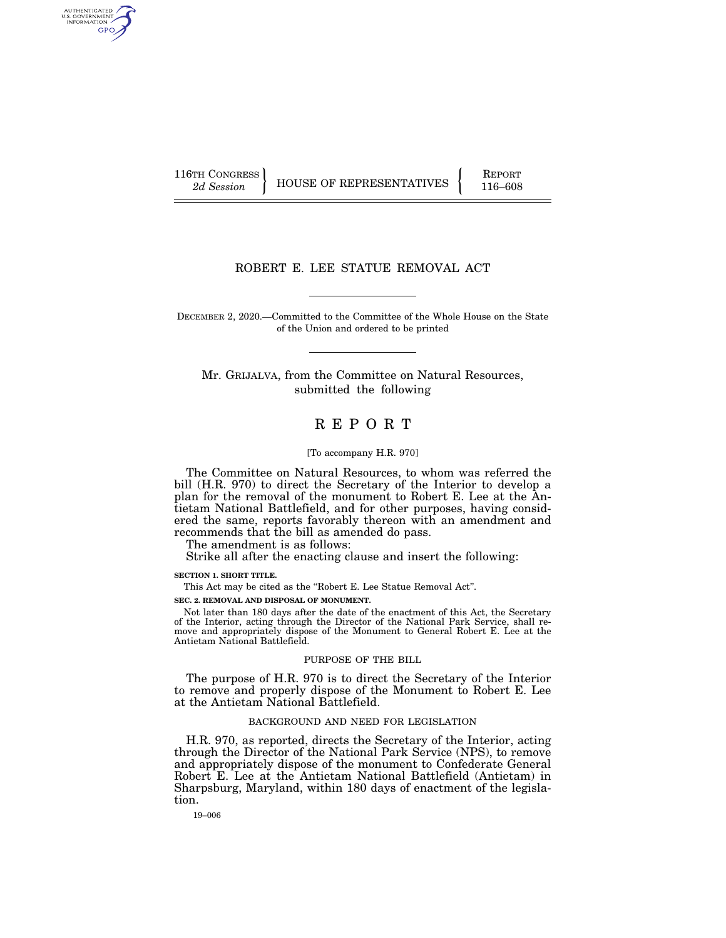AUTHENTICATED U.S. GOVERNMENT GPO

116TH CONGRESS HOUSE OF REPRESENTATIVES FEPORT 116–608

# ROBERT E. LEE STATUE REMOVAL ACT

DECEMBER 2, 2020.—Committed to the Committee of the Whole House on the State of the Union and ordered to be printed

Mr. GRIJALVA, from the Committee on Natural Resources, submitted the following

# R E P O R T

#### [To accompany H.R. 970]

The Committee on Natural Resources, to whom was referred the bill (H.R. 970) to direct the Secretary of the Interior to develop a plan for the removal of the monument to Robert E. Lee at the Antietam National Battlefield, and for other purposes, having considered the same, reports favorably thereon with an amendment and recommends that the bill as amended do pass.

The amendment is as follows:

Strike all after the enacting clause and insert the following:

**SECTION 1. SHORT TITLE.** 

This Act may be cited as the "Robert E. Lee Statue Removal Act". **SEC. 2. REMOVAL AND DISPOSAL OF MONUMENT.** 

Not later than 180 days after the date of the enactment of this Act, the Secretary of the Interior, acting through the Director of the National Park Service, shall remove and appropriately dispose of the Monument to General Robert E. Lee at the Antietam National Battlefield.

### PURPOSE OF THE BILL

The purpose of H.R. 970 is to direct the Secretary of the Interior to remove and properly dispose of the Monument to Robert E. Lee at the Antietam National Battlefield.

### BACKGROUND AND NEED FOR LEGISLATION

H.R. 970, as reported, directs the Secretary of the Interior, acting through the Director of the National Park Service (NPS), to remove and appropriately dispose of the monument to Confederate General Robert E. Lee at the Antietam National Battlefield (Antietam) in Sharpsburg, Maryland, within 180 days of enactment of the legislation.

19–006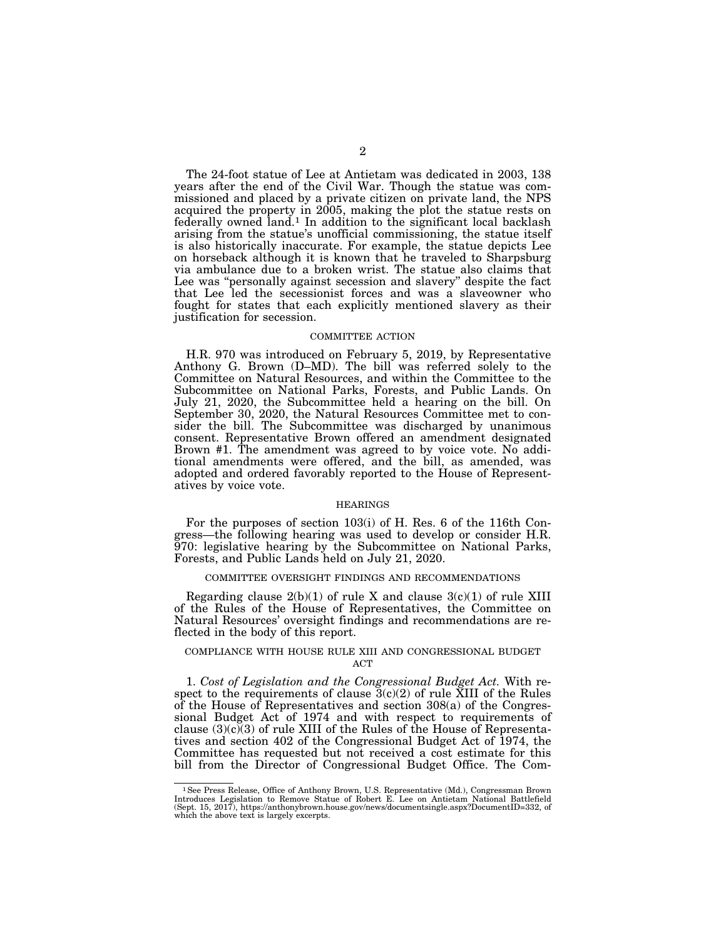The 24-foot statue of Lee at Antietam was dedicated in 2003, 138 years after the end of the Civil War. Though the statue was commissioned and placed by a private citizen on private land, the NPS acquired the property in 2005, making the plot the statue rests on federally owned land.1 In addition to the significant local backlash arising from the statue's unofficial commissioning, the statue itself is also historically inaccurate. For example, the statue depicts Lee on horseback although it is known that he traveled to Sharpsburg via ambulance due to a broken wrist. The statue also claims that Lee was ''personally against secession and slavery'' despite the fact that Lee led the secessionist forces and was a slaveowner who fought for states that each explicitly mentioned slavery as their justification for secession.

#### COMMITTEE ACTION

H.R. 970 was introduced on February 5, 2019, by Representative Anthony G. Brown (D–MD). The bill was referred solely to the Committee on Natural Resources, and within the Committee to the Subcommittee on National Parks, Forests, and Public Lands. On July 21, 2020, the Subcommittee held a hearing on the bill. On September 30, 2020, the Natural Resources Committee met to consider the bill. The Subcommittee was discharged by unanimous consent. Representative Brown offered an amendment designated Brown #1. The amendment was agreed to by voice vote. No additional amendments were offered, and the bill, as amended, was adopted and ordered favorably reported to the House of Representatives by voice vote.

#### HEARINGS

For the purposes of section 103(i) of H. Res. 6 of the 116th Congress—the following hearing was used to develop or consider H.R. 970: legislative hearing by the Subcommittee on National Parks, Forests, and Public Lands held on July 21, 2020.

### COMMITTEE OVERSIGHT FINDINGS AND RECOMMENDATIONS

Regarding clause  $2(b)(1)$  of rule X and clause  $3(c)(1)$  of rule XIII of the Rules of the House of Representatives, the Committee on Natural Resources' oversight findings and recommendations are reflected in the body of this report.

#### COMPLIANCE WITH HOUSE RULE XIII AND CONGRESSIONAL BUDGET ACT

1. *Cost of Legislation and the Congressional Budget Act.* With respect to the requirements of clause  $\overline{3}(c)(2)$  of rule XIII of the Rules of the House of Representatives and section 308(a) of the Congressional Budget Act of 1974 and with respect to requirements of clause  $(3)(c)(3)$  of rule XIII of the Rules of the House of Representatives and section 402 of the Congressional Budget Act of 1974, the Committee has requested but not received a cost estimate for this bill from the Director of Congressional Budget Office. The Com-

<sup>&</sup>lt;sup>1</sup>See Press Release, Office of Anthony Brown, U.S. Representative (Md.), Congressman Brown Introduces Legislation to Remove Statue of Robert E. Lee on Antietam National Battlefield (Sept. 15, 2017), https://anthonybrown. which the above text is largely excerpts.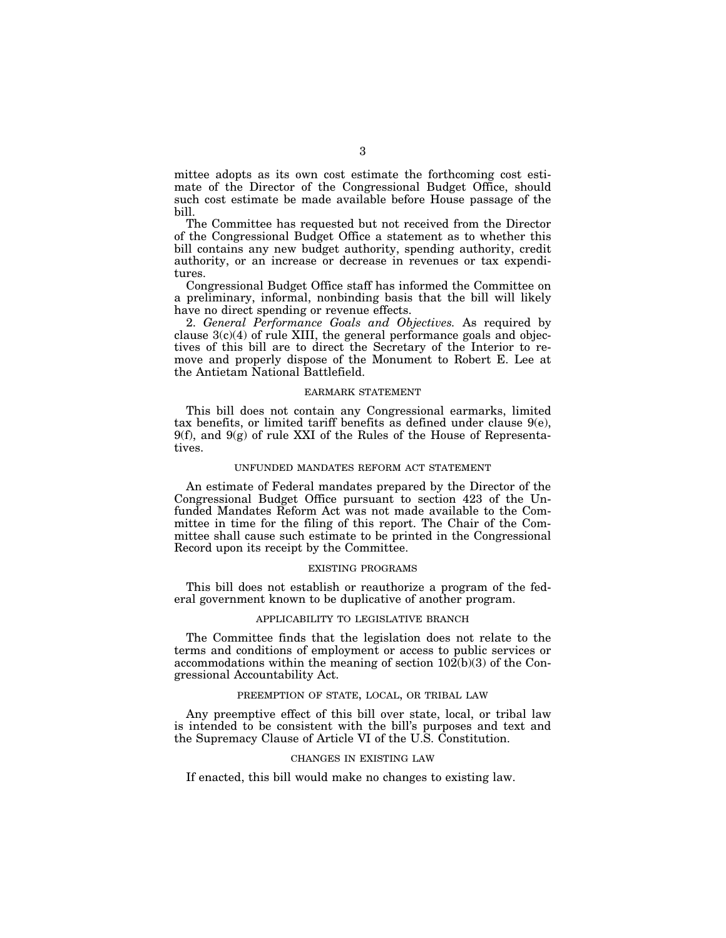mittee adopts as its own cost estimate the forthcoming cost estimate of the Director of the Congressional Budget Office, should such cost estimate be made available before House passage of the bill.

The Committee has requested but not received from the Director of the Congressional Budget Office a statement as to whether this bill contains any new budget authority, spending authority, credit authority, or an increase or decrease in revenues or tax expenditures.

Congressional Budget Office staff has informed the Committee on a preliminary, informal, nonbinding basis that the bill will likely have no direct spending or revenue effects.

2. *General Performance Goals and Objectives.* As required by clause  $3(c)(4)$  of rule XIII, the general performance goals and objectives of this bill are to direct the Secretary of the Interior to remove and properly dispose of the Monument to Robert E. Lee at the Antietam National Battlefield.

### EARMARK STATEMENT

This bill does not contain any Congressional earmarks, limited tax benefits, or limited tariff benefits as defined under clause 9(e), 9(f), and 9(g) of rule XXI of the Rules of the House of Representatives.

### UNFUNDED MANDATES REFORM ACT STATEMENT

An estimate of Federal mandates prepared by the Director of the Congressional Budget Office pursuant to section 423 of the Unfunded Mandates Reform Act was not made available to the Committee in time for the filing of this report. The Chair of the Committee shall cause such estimate to be printed in the Congressional Record upon its receipt by the Committee.

### EXISTING PROGRAMS

This bill does not establish or reauthorize a program of the federal government known to be duplicative of another program.

### APPLICABILITY TO LEGISLATIVE BRANCH

The Committee finds that the legislation does not relate to the terms and conditions of employment or access to public services or accommodations within the meaning of section 102(b)(3) of the Congressional Accountability Act.

## PREEMPTION OF STATE, LOCAL, OR TRIBAL LAW

Any preemptive effect of this bill over state, local, or tribal law is intended to be consistent with the bill's purposes and text and the Supremacy Clause of Article VI of the U.S. Constitution.

#### CHANGES IN EXISTING LAW

If enacted, this bill would make no changes to existing law.